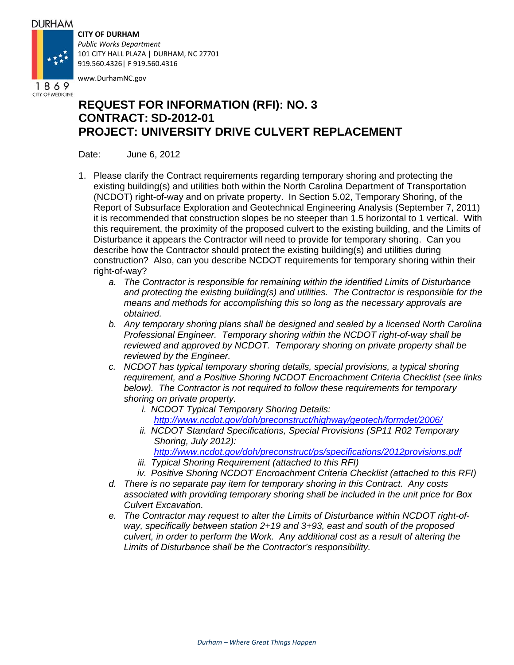### **DURHAM**

### **CITY OF DURHAM**

*Public Works Department* 101 CITY HALL PLAZA | DURHAM, NC 27701 919.560.4326| F 919.560.4316



www.DurhamNC.gov

# **REQUEST FOR INFORMATION (RFI): NO. 3 CONTRACT: SD-2012-01 PROJECT: UNIVERSITY DRIVE CULVERT REPLACEMENT**

Date: June 6, 2012

- 1. Please clarify the Contract requirements regarding temporary shoring and protecting the existing building(s) and utilities both within the North Carolina Department of Transportation (NCDOT) right-of-way and on private property. In Section 5.02, Temporary Shoring, of the Report of Subsurface Exploration and Geotechnical Engineering Analysis (September 7, 2011) it is recommended that construction slopes be no steeper than 1.5 horizontal to 1 vertical. With this requirement, the proximity of the proposed culvert to the existing building, and the Limits of Disturbance it appears the Contractor will need to provide for temporary shoring. Can you describe how the Contractor should protect the existing building(s) and utilities during construction? Also, can you describe NCDOT requirements for temporary shoring within their right-of-way?
	- *a. The Contractor is responsible for remaining within the identified Limits of Disturbance and protecting the existing building(s) and utilities. The Contractor is responsible for the means and methods for accomplishing this so long as the necessary approvals are obtained.*
	- *b. Any temporary shoring plans shall be designed and sealed by a licensed North Carolina Professional Engineer. Temporary shoring within the NCDOT right-of-way shall be reviewed and approved by NCDOT. Temporary shoring on private property shall be reviewed by the Engineer.*
	- *c. NCDOT has typical temporary shoring details, special provisions, a typical shoring requirement, and a Positive Shoring NCDOT Encroachment Criteria Checklist (see links below). The Contractor is not required to follow these requirements for temporary shoring on private property.* 
		- *i. NCDOT Typical Temporary Shoring Details: http://www.ncdot.gov/doh/preconstruct/highway/geotech/formdet/2006/*
		- *ii. NCDOT Standard Specifications, Special Provisions (SP11 R02 Temporary Shoring, July 2012):*

*http://www.ncdot.gov/doh/preconstruct/ps/specifications/2012provisions.pdf*

- *iii. Typical Shoring Requirement (attached to this RFI)*
- *iv. Positive Shoring NCDOT Encroachment Criteria Checklist (attached to this RFI)*
- *d. There is no separate pay item for temporary shoring in this Contract. Any costs associated with providing temporary shoring shall be included in the unit price for Box Culvert Excavation.*
- *e. The Contractor may request to alter the Limits of Disturbance within NCDOT right-ofway, specifically between station 2+19 and 3+93, east and south of the proposed culvert, in order to perform the Work. Any additional cost as a result of altering the Limits of Disturbance shall be the Contractor's responsibility.*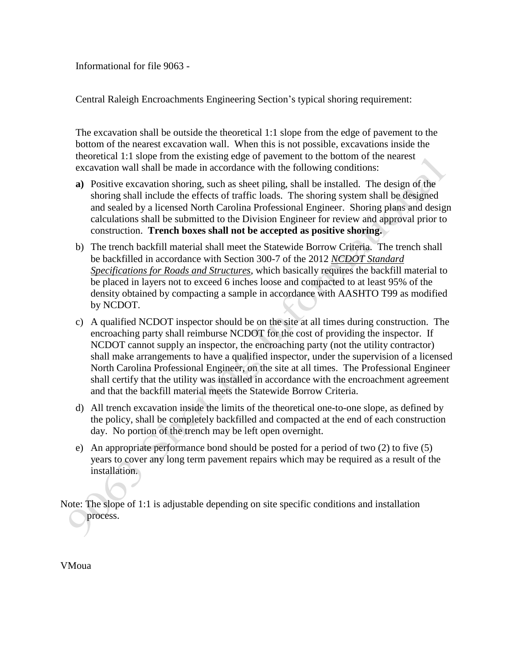Informational for file 9063 -

Central Raleigh Encroachments Engineering Section's typical shoring requirement:

The excavation shall be outside the theoretical 1:1 slope from the edge of pavement to the bottom of the nearest excavation wall. When this is not possible, excavations inside the theoretical 1:1 slope from the existing edge of pavement to the bottom of the nearest excavation wall shall be made in accordance with the following conditions:

- **a)** Positive excavation shoring, such as sheet piling, shall be installed. The design of the shoring shall include the effects of traffic loads. The shoring system shall be designed and sealed by a licensed North Carolina Professional Engineer. Shoring plans and design calculations shall be submitted to the Division Engineer for review and approval prior to construction. **Trench boxes shall not be accepted as positive shoring.**
- b) The trench backfill material shall meet the Statewide Borrow Criteria. The trench shall be backfilled in accordance with Section 300-7 of the 2012 *NCDOT Standard Specifications for Roads and Structures*, which basically requires the backfill material to be placed in layers not to exceed 6 inches loose and compacted to at least 95% of the density obtained by compacting a sample in accordance with AASHTO T99 as modified by NCDOT.
- c) A qualified NCDOT inspector should be on the site at all times during construction. The encroaching party shall reimburse NCDOT for the cost of providing the inspector. If NCDOT cannot supply an inspector, the encroaching party (not the utility contractor) shall make arrangements to have a qualified inspector, under the supervision of a licensed North Carolina Professional Engineer, on the site at all times. The Professional Engineer shall certify that the utility was installed in accordance with the encroachment agreement and that the backfill material meets the Statewide Borrow Criteria.
- d) All trench excavation inside the limits of the theoretical one-to-one slope, as defined by the policy, shall be completely backfilled and compacted at the end of each construction day. No portion of the trench may be left open overnight.
- e) An appropriate performance bond should be posted for a period of two (2) to five (5) years to cover any long term pavement repairs which may be required as a result of the installation.

Note: The slope of 1:1 is adjustable depending on site specific conditions and installation process.

VMoua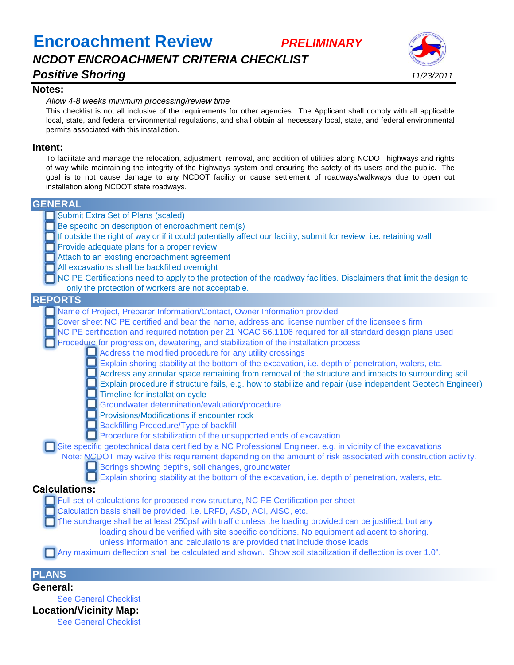# **Encroachment Review PRELIMINARY**

**NCDOT ENCROACHMENT CRITERIA CHECKLIST**

## **Positive Shoring** 11/23/2011



### **Notes:**

### Allow 4-8 weeks minimum processing/review time

This checklist is not all inclusive of the requirements for other agencies. The Applicant shall comply with all applicable local, state, and federal environmental regulations, and shall obtain all necessary local, state, and federal environmental permits associated with this installation.

### **Intent:**

To facilitate and manage the relocation, adjustment, removal, and addition of utilities along NCDOT highways and rights of way while maintaining the integrity of the highways system and ensuring the safety of its users and the public. The goal is to not cause damage to any NCDOT facility or cause settlement of roadways/walkways due to open cut installation along NCDOT state roadways.

| <b>GENERAL</b>                                                                                                                                                 |  |  |  |
|----------------------------------------------------------------------------------------------------------------------------------------------------------------|--|--|--|
| Submit Extra Set of Plans (scaled)                                                                                                                             |  |  |  |
| Be specific on description of encroachment item(s)                                                                                                             |  |  |  |
| If outside the right of way or if it could potentially affect our facility, submit for review, i.e. retaining wall                                             |  |  |  |
| Provide adequate plans for a proper review                                                                                                                     |  |  |  |
| Attach to an existing encroachment agreement                                                                                                                   |  |  |  |
| All excavations shall be backfilled overnight                                                                                                                  |  |  |  |
| NC PE Certifications need to apply to the protection of the roadway facilities. Disclaimers that limit the design to                                           |  |  |  |
| only the protection of workers are not acceptable.                                                                                                             |  |  |  |
| <b>REPORTS</b>                                                                                                                                                 |  |  |  |
| Name of Project, Preparer Information/Contact, Owner Information provided                                                                                      |  |  |  |
| Cover sheet NC PE certified and bear the name, address and license number of the licensee's firm                                                               |  |  |  |
| NC PE certification and required notation per 21 NCAC 56.1106 required for all standard design plans used                                                      |  |  |  |
| Procedure for progression, dewatering, and stabilization of the installation process                                                                           |  |  |  |
| Address the modified procedure for any utility crossings<br>Explain shoring stability at the bottom of the excavation, i.e. depth of penetration, walers, etc. |  |  |  |
| Address any annular space remaining from removal of the structure and impacts to surrounding soil                                                              |  |  |  |
| Explain procedure if structure fails, e.g. how to stabilize and repair (use independent Geotech Engineer)                                                      |  |  |  |
| Timeline for installation cycle                                                                                                                                |  |  |  |
| Groundwater determination/evaluation/procedure                                                                                                                 |  |  |  |
| Provisions/Modifications if encounter rock                                                                                                                     |  |  |  |
| Backfilling Procedure/Type of backfill                                                                                                                         |  |  |  |
| Procedure for stabilization of the unsupported ends of excavation                                                                                              |  |  |  |
| Site specific geotechnical data certified by a NC Professional Engineer, e.g. in vicinity of the excavations                                                   |  |  |  |
| Note: NCDOT may waive this requirement depending on the amount of risk associated with construction activity.                                                  |  |  |  |
| Borings showing depths, soil changes, groundwater                                                                                                              |  |  |  |
| Explain shoring stability at the bottom of the excavation, i.e. depth of penetration, walers, etc.                                                             |  |  |  |
| <b>Calculations:</b>                                                                                                                                           |  |  |  |
| Full set of calculations for proposed new structure, NC PE Certification per sheet                                                                             |  |  |  |
| Calculation basis shall be provided, i.e. LRFD, ASD, ACI, AISC, etc.                                                                                           |  |  |  |
| The surcharge shall be at least 250psf with traffic unless the loading provided can be justified, but any                                                      |  |  |  |
| loading should be verified with site specific conditions. No equipment adjacent to shoring.                                                                    |  |  |  |
| unless information and calculations are provided that include those loads                                                                                      |  |  |  |
| Any maximum deflection shall be calculated and shown. Show soil stabilization if deflection is over 1.0".                                                      |  |  |  |
| <b>PLANS</b>                                                                                                                                                   |  |  |  |
| General:                                                                                                                                                       |  |  |  |
| <b>See General Checklist</b>                                                                                                                                   |  |  |  |
| <b>Location/Vicinity Map:</b>                                                                                                                                  |  |  |  |
|                                                                                                                                                                |  |  |  |

See General Checklist